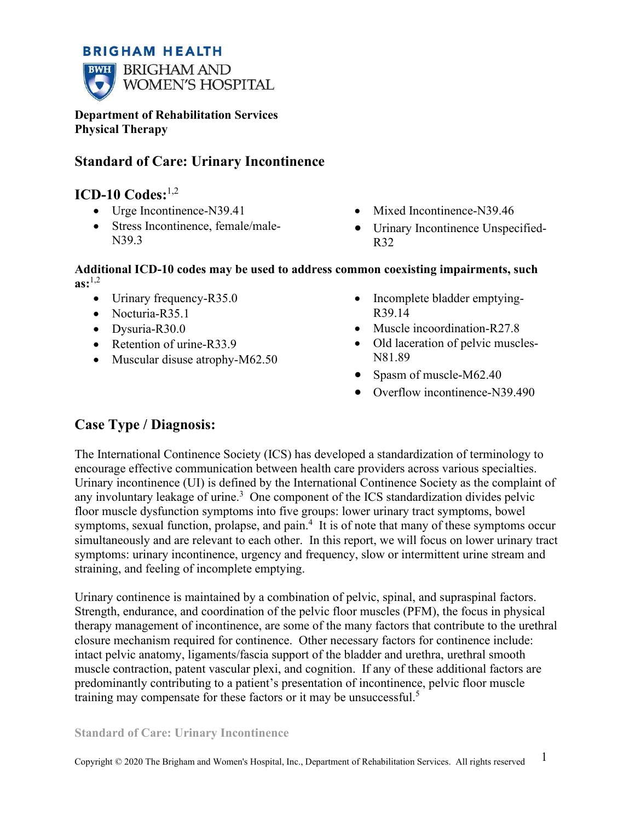## **BRIGHAM HEALTH**



**Department of Rehabilitation Services Physical Therapy** 

# **Standard of Care: Urinary Incontinence**

# **ICD-10 Codes:**1,2

- Urge Incontinence-N39.41
- Stress Incontinence, female/male-N39.3
- Mixed Incontinence-N39.46
- Urinary Incontinence Unspecified-R32

### **Additional ICD-10 codes may be used to address common coexisting impairments, such**   $\mathbf{a}\mathbf{s}$ :<sup>1,2</sup>

- Urinary frequency-R35.0
- Nocturia-R35.1
- Dysuria-R30.0
- Retention of urine-R33.9
- Muscular disuse atrophy-M62.50
- Incomplete bladder emptying-R39.14
- Muscle incoordination-R27.8
- Old laceration of pelvic muscles-N81.89
- Spasm of muscle-M62.40
- Overflow incontinence-N39.490

# **Case Type / Diagnosis:**

The International Continence Society (ICS) has developed a standardization of terminology to encourage effective communication between health care providers across various specialties. Urinary incontinence (UI) is defined by the International Continence Society as the complaint of any involuntary leakage of urine.<sup>3</sup> One component of the ICS standardization divides pelvic floor muscle dysfunction symptoms into five groups: lower urinary tract symptoms, bowel symptoms, sexual function, prolapse, and pain.<sup>4</sup> It is of note that many of these symptoms occur simultaneously and are relevant to each other. In this report, we will focus on lower urinary tract symptoms: urinary incontinence, urgency and frequency, slow or intermittent urine stream and straining, and feeling of incomplete emptying.

Urinary continence is maintained by a combination of pelvic, spinal, and supraspinal factors. Strength, endurance, and coordination of the pelvic floor muscles (PFM), the focus in physical therapy management of incontinence, are some of the many factors that contribute to the urethral closure mechanism required for continence. Other necessary factors for continence include: intact pelvic anatomy, ligaments/fascia support of the bladder and urethra, urethral smooth muscle contraction, patent vascular plexi, and cognition. If any of these additional factors are predominantly contributing to a patient's presentation of incontinence, pelvic floor muscle training may compensate for these factors or it may be unsuccessful.<sup>5</sup>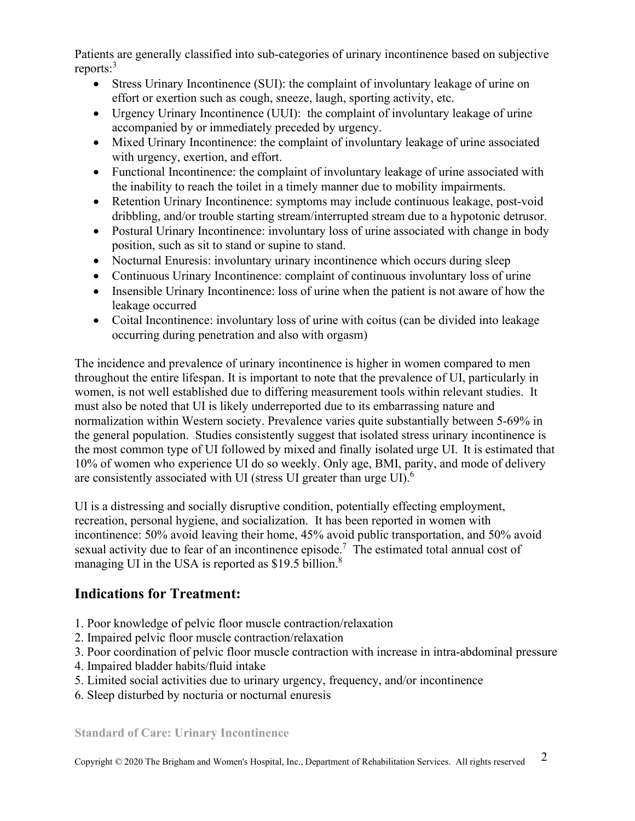Patients are generally classified into sub-categories of urinary incontinence based on subjective reports:<sup>3</sup>

- Stress Urinary Incontinence (SUI): the complaint of involuntary leakage of urine on effort or exertion such as cough, sneeze, laugh, sporting activity, etc.
- Urgency Urinary Incontinence (UUI): the complaint of involuntary leakage of urine accompanied by or immediately preceded by urgency.
- Mixed Urinary Incontinence: the complaint of involuntary leakage of urine associated with urgency, exertion, and effort.
- Functional Incontinence: the complaint of involuntary leakage of urine associated with the inability to reach the toilet in a timely manner due to mobility impairments.
- Retention Urinary Incontinence: symptoms may include continuous leakage, post-void dribbling, and/or trouble starting stream/interrupted stream due to a hypotonic detrusor.
- Postural Urinary Incontinence: involuntary loss of urine associated with change in body position, such as sit to stand or supine to stand.
- Nocturnal Enuresis: involuntary urinary incontinence which occurs during sleep
- Continuous Urinary Incontinence: complaint of continuous involuntary loss of urine
- Insensible Urinary Incontinence: loss of urine when the patient is not aware of how the leakage occurred
- Coital Incontinence: involuntary loss of urine with coitus (can be divided into leakage occurring during penetration and also with orgasm)

The incidence and prevalence of urinary incontinence is higher in women compared to men throughout the entire lifespan. It is important to note that the prevalence of UI, particularly in women, is not well established due to differing measurement tools within relevant studies. It must also be noted that UI is likely underreported due to its embarrassing nature and normalization within Western society. Prevalence varies quite substantially between 5-69% in the general population. Studies consistently suggest that isolated stress urinary incontinence is the most common type of UI followed by mixed and finally isolated urge UI. It is estimated that 10% of women who experience UI do so weekly. Only age, BMI, parity, and mode of delivery are consistently associated with UI (stress UI greater than urge UI). $<sup>6</sup>$ </sup>

UI is a distressing and socially disruptive condition, potentially effecting employment, recreation, personal hygiene, and socialization. It has been reported in women with incontinence: 50% avoid leaving their home, 45% avoid public transportation, and 50% avoid sexual activity due to fear of an incontinence episode.<sup>7</sup> The estimated total annual cost of managing UI in the USA is reported as \$19.5 billion.<sup>8</sup>

# **Indications for Treatment:**

- 1. Poor knowledge of pelvic floor muscle contraction/relaxation
- 2. Impaired pelvic floor muscle contraction/relaxation
- 3. Poor coordination of pelvic floor muscle contraction with increase in intra-abdominal pressure
- 4. Impaired bladder habits/fluid intake
- 5. Limited social activities due to urinary urgency, frequency, and/or incontinence
- 6. Sleep disturbed by nocturia or nocturnal enuresis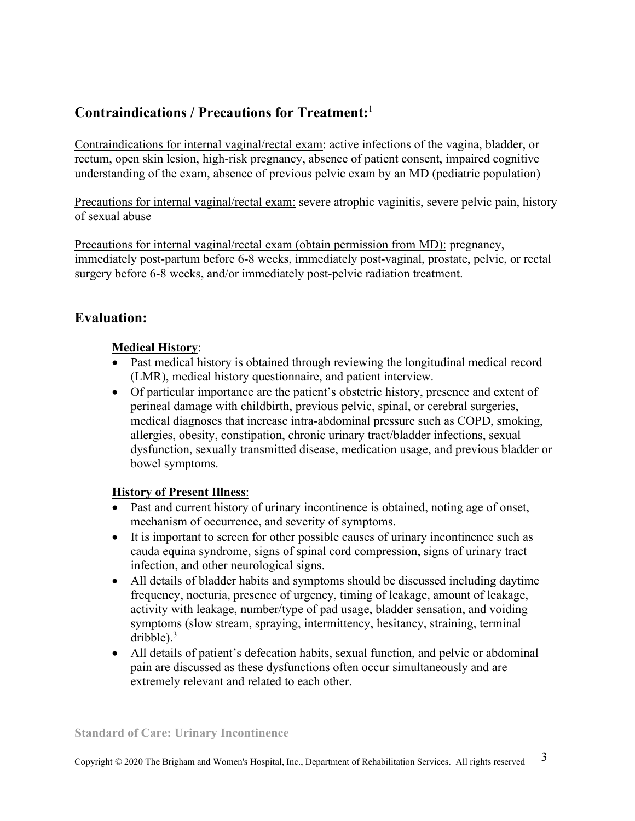# **Contraindications / Precautions for Treatment:**<sup>1</sup>

Contraindications for internal vaginal/rectal exam: active infections of the vagina, bladder, or rectum, open skin lesion, high-risk pregnancy, absence of patient consent, impaired cognitive understanding of the exam, absence of previous pelvic exam by an MD (pediatric population)

Precautions for internal vaginal/rectal exam: severe atrophic vaginitis, severe pelvic pain, history of sexual abuse

Precautions for internal vaginal/rectal exam (obtain permission from MD): pregnancy, immediately post-partum before 6-8 weeks, immediately post-vaginal, prostate, pelvic, or rectal surgery before 6-8 weeks, and/or immediately post-pelvic radiation treatment.

# **Evaluation:**

### **Medical History**:

- Past medical history is obtained through reviewing the longitudinal medical record (LMR), medical history questionnaire, and patient interview.
- Of particular importance are the patient's obstetric history, presence and extent of perineal damage with childbirth, previous pelvic, spinal, or cerebral surgeries, medical diagnoses that increase intra-abdominal pressure such as COPD, smoking, allergies, obesity, constipation, chronic urinary tract/bladder infections, sexual dysfunction, sexually transmitted disease, medication usage, and previous bladder or bowel symptoms.

### **History of Present Illness**:

- Past and current history of urinary incontinence is obtained, noting age of onset, mechanism of occurrence, and severity of symptoms.
- It is important to screen for other possible causes of urinary incontinence such as cauda equina syndrome, signs of spinal cord compression, signs of urinary tract infection, and other neurological signs.
- All details of bladder habits and symptoms should be discussed including daytime frequency, nocturia, presence of urgency, timing of leakage, amount of leakage, activity with leakage, number/type of pad usage, bladder sensation, and voiding symptoms (slow stream, spraying, intermittency, hesitancy, straining, terminal dribble). $3$
- All details of patient's defecation habits, sexual function, and pelvic or abdominal pain are discussed as these dysfunctions often occur simultaneously and are extremely relevant and related to each other.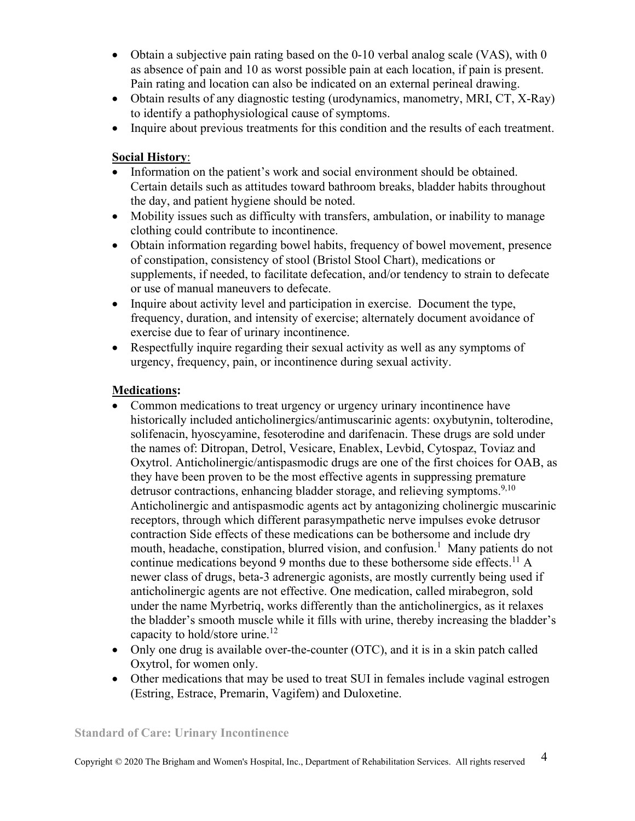- Obtain a subjective pain rating based on the 0-10 verbal analog scale (VAS), with 0 as absence of pain and 10 as worst possible pain at each location, if pain is present. Pain rating and location can also be indicated on an external perineal drawing.
- Obtain results of any diagnostic testing (urodynamics, manometry, MRI, CT, X-Ray) to identify a pathophysiological cause of symptoms.
- Inquire about previous treatments for this condition and the results of each treatment.

### **Social History**:

- Information on the patient's work and social environment should be obtained. Certain details such as attitudes toward bathroom breaks, bladder habits throughout the day, and patient hygiene should be noted.
- Mobility issues such as difficulty with transfers, ambulation, or inability to manage clothing could contribute to incontinence.
- Obtain information regarding bowel habits, frequency of bowel movement, presence of constipation, consistency of stool (Bristol Stool Chart), medications or supplements, if needed, to facilitate defecation, and/or tendency to strain to defecate or use of manual maneuvers to defecate.
- Inquire about activity level and participation in exercise. Document the type, frequency, duration, and intensity of exercise; alternately document avoidance of exercise due to fear of urinary incontinence.
- Respectfully inquire regarding their sexual activity as well as any symptoms of urgency, frequency, pain, or incontinence during sexual activity.

### **Medications:**

- Common medications to treat urgency or urgency urinary incontinence have historically included anticholinergics/antimuscarinic agents: oxybutynin, tolterodine, solifenacin, hyoscyamine, fesoterodine and darifenacin. These drugs are sold under the names of: Ditropan, Detrol, Vesicare, Enablex, Levbid, Cytospaz, Toviaz and Oxytrol. Anticholinergic/antispasmodic drugs are one of the first choices for OAB, as they have been proven to be the most effective agents in suppressing premature detrusor contractions, enhancing bladder storage, and relieving symptoms.<sup>9,10</sup> Anticholinergic and antispasmodic agents act by antagonizing cholinergic muscarinic receptors, through which different parasympathetic nerve impulses evoke detrusor contraction Side effects of these medications can be bothersome and include dry mouth, headache, constipation, blurred vision, and confusion.<sup>1</sup> Many patients do not continue medications beyond 9 months due to these bothersome side effects.<sup>11</sup> A newer class of drugs, beta-3 adrenergic agonists, are mostly currently being used if anticholinergic agents are not effective. One medication, called mirabegron, sold under the name Myrbetriq, works differently than the anticholinergics, as it relaxes the bladder's smooth muscle while it fills with urine, thereby increasing the bladder's capacity to hold/store urine.<sup>12</sup>
- Only one drug is available over-the-counter (OTC), and it is in a skin patch called Oxytrol, for women only.
- Other medications that may be used to treat SUI in females include vaginal estrogen (Estring, Estrace, Premarin, Vagifem) and Duloxetine.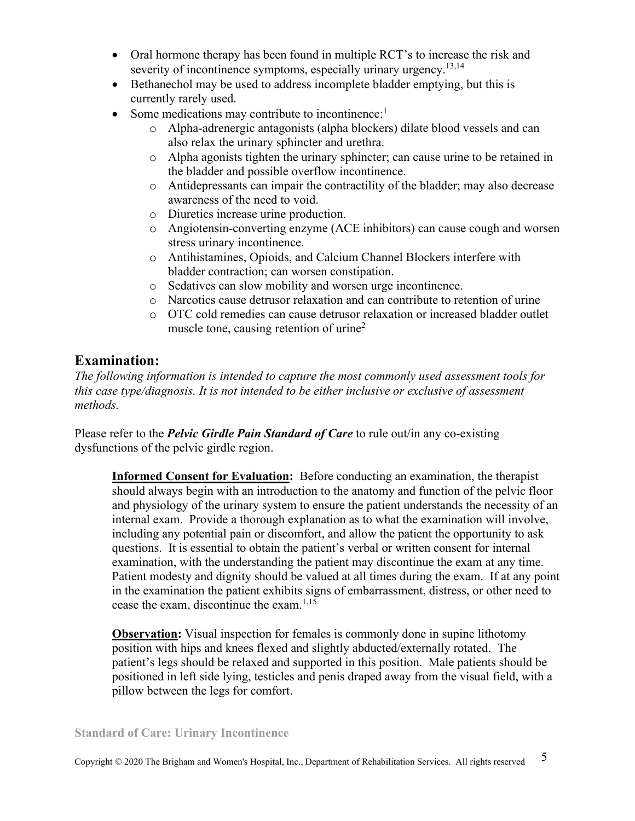- Oral hormone therapy has been found in multiple RCT's to increase the risk and severity of incontinence symptoms, especially urinary urgency.<sup>13,14</sup>
- Bethanechol may be used to address incomplete bladder emptying, but this is currently rarely used.
- Some medications may contribute to incontinence:<sup>1</sup>
	- o Alpha-adrenergic antagonists (alpha blockers) dilate blood vessels and can also relax the urinary sphincter and urethra.
	- o Alpha agonists tighten the urinary sphincter; can cause urine to be retained in the bladder and possible overflow incontinence.
	- o Antidepressants can impair the contractility of the bladder; may also decrease awareness of the need to void.
	- o Diuretics increase urine production.
	- o Angiotensin-converting enzyme (ACE inhibitors) can cause cough and worsen stress urinary incontinence.
	- o Antihistamines, Opioids, and Calcium Channel Blockers interfere with bladder contraction; can worsen constipation.
	- o Sedatives can slow mobility and worsen urge incontinence.
	- o Narcotics cause detrusor relaxation and can contribute to retention of urine
	- o OTC cold remedies can cause detrusor relaxation or increased bladder outlet muscle tone, causing retention of urine<sup>2</sup>

## **Examination:**

*The following information is intended to capture the most commonly used assessment tools for this case type/diagnosis. It is not intended to be either inclusive or exclusive of assessment methods.* 

Please refer to the *Pelvic Girdle Pain Standard of Care* to rule out/in any co-existing dysfunctions of the pelvic girdle region.

**Informed Consent for Evaluation:** Before conducting an examination, the therapist should always begin with an introduction to the anatomy and function of the pelvic floor and physiology of the urinary system to ensure the patient understands the necessity of an internal exam. Provide a thorough explanation as to what the examination will involve, including any potential pain or discomfort, and allow the patient the opportunity to ask questions. It is essential to obtain the patient's verbal or written consent for internal examination, with the understanding the patient may discontinue the exam at any time. Patient modesty and dignity should be valued at all times during the exam. If at any point in the examination the patient exhibits signs of embarrassment, distress, or other need to cease the exam, discontinue the exam.<sup>1,15</sup>

**Observation:** Visual inspection for females is commonly done in supine lithotomy position with hips and knees flexed and slightly abducted/externally rotated. The patient's legs should be relaxed and supported in this position. Male patients should be positioned in left side lying, testicles and penis draped away from the visual field, with a pillow between the legs for comfort.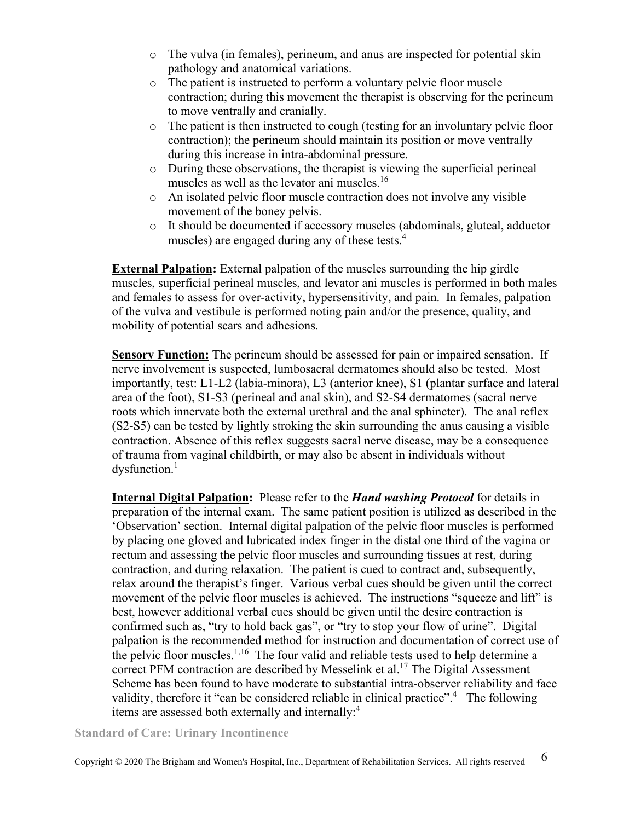- o The vulva (in females), perineum, and anus are inspected for potential skin pathology and anatomical variations.
- o The patient is instructed to perform a voluntary pelvic floor muscle contraction; during this movement the therapist is observing for the perineum to move ventrally and cranially.
- o The patient is then instructed to cough (testing for an involuntary pelvic floor contraction); the perineum should maintain its position or move ventrally during this increase in intra-abdominal pressure.
- o During these observations, the therapist is viewing the superficial perineal muscles as well as the levator ani muscles.<sup>16</sup>
- o An isolated pelvic floor muscle contraction does not involve any visible movement of the boney pelvis.
- o It should be documented if accessory muscles (abdominals, gluteal, adductor muscles) are engaged during any of these tests.<sup>4</sup>

**External Palpation:** External palpation of the muscles surrounding the hip girdle muscles, superficial perineal muscles, and levator ani muscles is performed in both males and females to assess for over-activity, hypersensitivity, and pain. In females, palpation of the vulva and vestibule is performed noting pain and/or the presence, quality, and mobility of potential scars and adhesions.

**Sensory Function:** The perineum should be assessed for pain or impaired sensation. If nerve involvement is suspected, lumbosacral dermatomes should also be tested. Most importantly, test: L1-L2 (labia-minora), L3 (anterior knee), S1 (plantar surface and lateral area of the foot), S1-S3 (perineal and anal skin), and S2-S4 dermatomes (sacral nerve roots which innervate both the external urethral and the anal sphincter). The anal reflex (S2-S5) can be tested by lightly stroking the skin surrounding the anus causing a visible contraction. Absence of this reflex suggests sacral nerve disease, may be a consequence of trauma from vaginal childbirth, or may also be absent in individuals without dysfunction.<sup>1</sup>

**Internal Digital Palpation:** Please refer to the *Hand washing Protocol* for details in preparation of the internal exam. The same patient position is utilized as described in the 'Observation' section. Internal digital palpation of the pelvic floor muscles is performed by placing one gloved and lubricated index finger in the distal one third of the vagina or rectum and assessing the pelvic floor muscles and surrounding tissues at rest, during contraction, and during relaxation. The patient is cued to contract and, subsequently, relax around the therapist's finger. Various verbal cues should be given until the correct movement of the pelvic floor muscles is achieved. The instructions "squeeze and lift" is best, however additional verbal cues should be given until the desire contraction is confirmed such as, "try to hold back gas", or "try to stop your flow of urine". Digital palpation is the recommended method for instruction and documentation of correct use of the pelvic floor muscles.<sup>1,16</sup> The four valid and reliable tests used to help determine a correct PFM contraction are described by Messelink et al.<sup>17</sup> The Digital Assessment Scheme has been found to have moderate to substantial intra-observer reliability and face validity, therefore it "can be considered reliable in clinical practice".<sup>4</sup> The following items are assessed both externally and internally:<sup>4</sup>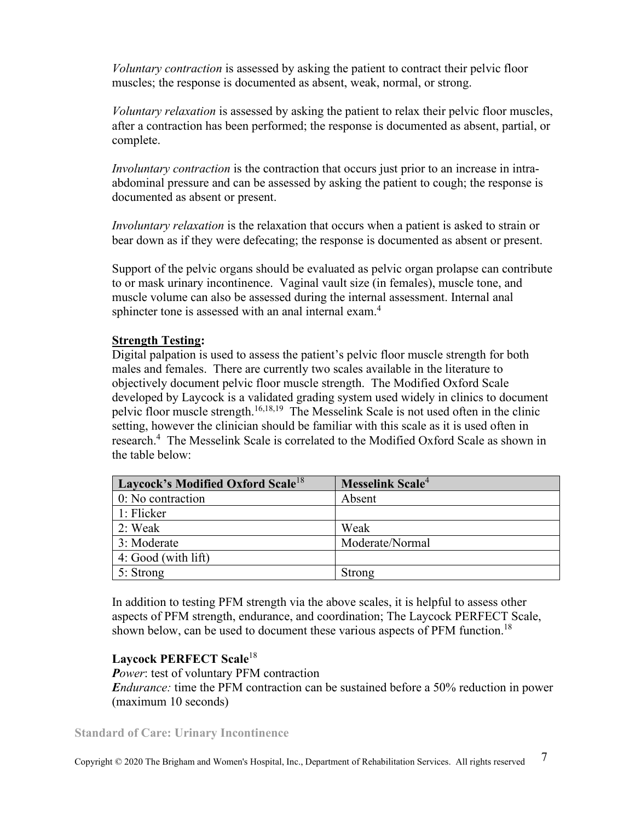*Voluntary contraction* is assessed by asking the patient to contract their pelvic floor muscles; the response is documented as absent, weak, normal, or strong.

*Voluntary relaxation* is assessed by asking the patient to relax their pelvic floor muscles, after a contraction has been performed; the response is documented as absent, partial, or complete.

*Involuntary contraction* is the contraction that occurs just prior to an increase in intraabdominal pressure and can be assessed by asking the patient to cough; the response is documented as absent or present.

*Involuntary relaxation* is the relaxation that occurs when a patient is asked to strain or bear down as if they were defecating; the response is documented as absent or present.

Support of the pelvic organs should be evaluated as pelvic organ prolapse can contribute to or mask urinary incontinence. Vaginal vault size (in females), muscle tone, and muscle volume can also be assessed during the internal assessment. Internal anal sphincter tone is assessed with an anal internal exam.<sup>4</sup>

### **Strength Testing:**

Digital palpation is used to assess the patient's pelvic floor muscle strength for both males and females. There are currently two scales available in the literature to objectively document pelvic floor muscle strength. The Modified Oxford Scale developed by Laycock is a validated grading system used widely in clinics to document pelvic floor muscle strength.16,18,19 The Messelink Scale is not used often in the clinic setting, however the clinician should be familiar with this scale as it is used often in research.<sup>4</sup> The Messelink Scale is correlated to the Modified Oxford Scale as shown in the table below:

| Laycock's Modified Oxford Scale <sup>18</sup> | Messelink Scale <sup>4</sup> |  |  |
|-----------------------------------------------|------------------------------|--|--|
| $\vert 0$ : No contraction                    | Absent                       |  |  |
| $\vert$ 1: Flicker                            |                              |  |  |
| 2: Weak                                       | Weak                         |  |  |
| 3: Moderate                                   | Moderate/Normal              |  |  |
| 4: Good (with lift)                           |                              |  |  |
| $5:$ Strong                                   | Strong                       |  |  |

In addition to testing PFM strength via the above scales, it is helpful to assess other aspects of PFM strength, endurance, and coordination; The Laycock PERFECT Scale, shown below, can be used to document these various aspects of PFM function.<sup>18</sup>

#### **Laycock PERFECT Scale**<sup>18</sup>

*Power*: test of voluntary PFM contraction *Endurance:* time the PFM contraction can be sustained before a 50% reduction in power (maximum 10 seconds)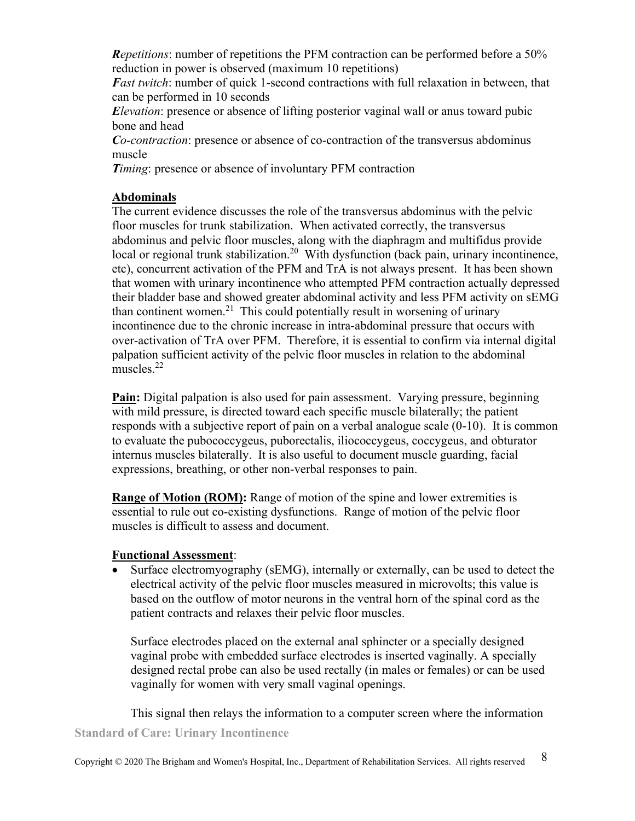*Repetitions*: number of repetitions the PFM contraction can be performed before a 50% reduction in power is observed (maximum 10 repetitions)

*Fast twitch*: number of quick 1-second contractions with full relaxation in between, that can be performed in 10 seconds

*Elevation*: presence or absence of lifting posterior vaginal wall or anus toward pubic bone and head

*Co-contraction*: presence or absence of co-contraction of the transversus abdominus muscle

*Timing*: presence or absence of involuntary PFM contraction

### **Abdominals**

The current evidence discusses the role of the transversus abdominus with the pelvic floor muscles for trunk stabilization. When activated correctly, the transversus abdominus and pelvic floor muscles, along with the diaphragm and multifidus provide local or regional trunk stabilization.<sup>20</sup> With dysfunction (back pain, urinary incontinence, etc), concurrent activation of the PFM and TrA is not always present. It has been shown that women with urinary incontinence who attempted PFM contraction actually depressed their bladder base and showed greater abdominal activity and less PFM activity on sEMG than continent women.<sup>21</sup> This could potentially result in worsening of urinary incontinence due to the chronic increase in intra-abdominal pressure that occurs with over-activation of TrA over PFM. Therefore, it is essential to confirm via internal digital palpation sufficient activity of the pelvic floor muscles in relation to the abdominal muscles.<sup>22</sup>

**Pain:** Digital palpation is also used for pain assessment. Varying pressure, beginning with mild pressure, is directed toward each specific muscle bilaterally; the patient responds with a subjective report of pain on a verbal analogue scale (0-10). It is common to evaluate the pubococcygeus, puborectalis, iliococcygeus, coccygeus, and obturator internus muscles bilaterally. It is also useful to document muscle guarding, facial expressions, breathing, or other non-verbal responses to pain.

**Range of Motion (ROM):** Range of motion of the spine and lower extremities is essential to rule out co-existing dysfunctions. Range of motion of the pelvic floor muscles is difficult to assess and document.

### **Functional Assessment**:

• Surface electromyography (sEMG), internally or externally, can be used to detect the electrical activity of the pelvic floor muscles measured in microvolts; this value is based on the outflow of motor neurons in the ventral horn of the spinal cord as the patient contracts and relaxes their pelvic floor muscles.

Surface electrodes placed on the external anal sphincter or a specially designed vaginal probe with embedded surface electrodes is inserted vaginally. A specially designed rectal probe can also be used rectally (in males or females) or can be used vaginally for women with very small vaginal openings.

**Standard of Care: Urinary Incontinence**  This signal then relays the information to a computer screen where the information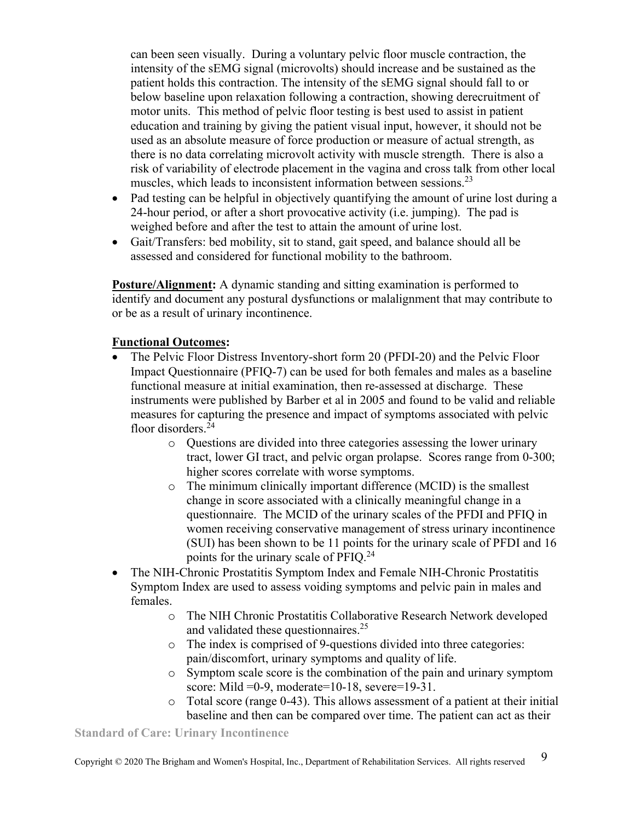can been seen visually. During a voluntary pelvic floor muscle contraction, the intensity of the sEMG signal (microvolts) should increase and be sustained as the patient holds this contraction. The intensity of the sEMG signal should fall to or below baseline upon relaxation following a contraction, showing derecruitment of motor units. This method of pelvic floor testing is best used to assist in patient education and training by giving the patient visual input, however, it should not be used as an absolute measure of force production or measure of actual strength, as there is no data correlating microvolt activity with muscle strength. There is also a risk of variability of electrode placement in the vagina and cross talk from other local muscles, which leads to inconsistent information between sessions.<sup>23</sup>

- Pad testing can be helpful in objectively quantifying the amount of urine lost during a 24-hour period, or after a short provocative activity (i.e. jumping). The pad is weighed before and after the test to attain the amount of urine lost.
- Gait/Transfers: bed mobility, sit to stand, gait speed, and balance should all be assessed and considered for functional mobility to the bathroom.

**Posture/Alignment:** A dynamic standing and sitting examination is performed to identify and document any postural dysfunctions or malalignment that may contribute to or be as a result of urinary incontinence.

### **Functional Outcomes:**

- The Pelvic Floor Distress Inventory-short form 20 (PFDI-20) and the Pelvic Floor Impact Questionnaire (PFIQ-7) can be used for both females and males as a baseline functional measure at initial examination, then re-assessed at discharge. These instruments were published by Barber et al in 2005 and found to be valid and reliable measures for capturing the presence and impact of symptoms associated with pelvic floor disorders.<sup>24</sup>
	- o Questions are divided into three categories assessing the lower urinary tract, lower GI tract, and pelvic organ prolapse. Scores range from 0-300; higher scores correlate with worse symptoms.
	- o The minimum clinically important difference (MCID) is the smallest change in score associated with a clinically meaningful change in a questionnaire. The MCID of the urinary scales of the PFDI and PFIQ in women receiving conservative management of stress urinary incontinence (SUI) has been shown to be 11 points for the urinary scale of PFDI and 16 points for the urinary scale of PFIQ.<sup>24</sup>
- The NIH-Chronic Prostatitis Symptom Index and Female NIH-Chronic Prostatitis Symptom Index are used to assess voiding symptoms and pelvic pain in males and females.
	- o The NIH Chronic Prostatitis Collaborative Research Network developed and validated these questionnaires.<sup>25</sup>
	- o The index is comprised of 9-questions divided into three categories: pain/discomfort, urinary symptoms and quality of life.
	- o Symptom scale score is the combination of the pain and urinary symptom score: Mild =0-9, moderate=10-18, severe=19-31.
	- o Total score (range 0-43). This allows assessment of a patient at their initial baseline and then can be compared over time. The patient can act as their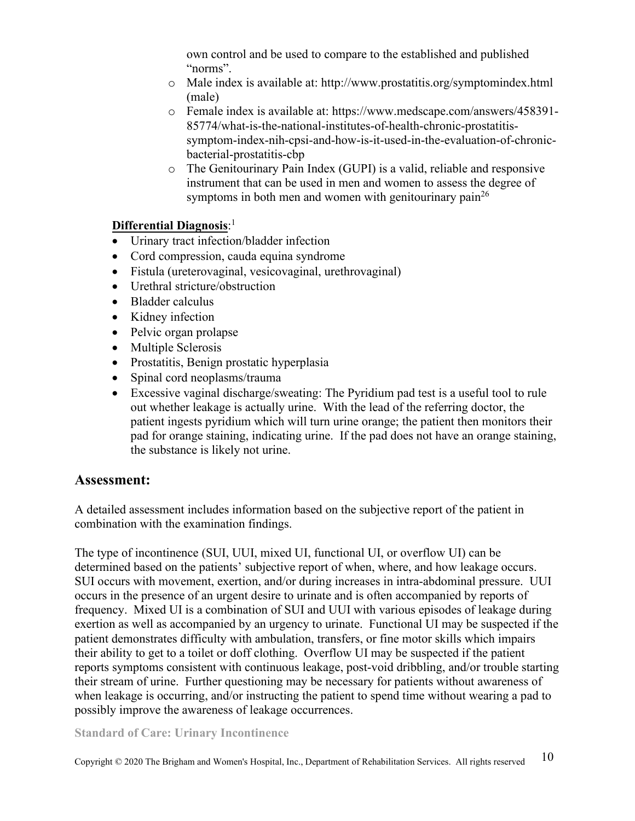own control and be used to compare to the established and published "norms".

- o Male index is available at: <http://www.prostatitis.org/symptomindex.html> (male)
- o Female index is available at: [https://www.medscape.com/answers/458391-](https://www.medscape.com/answers/458391-85774/what-is-the-national-institutes-of-health-chronic-prostatitis-symptom-index-nih-cpsi-and-how-is-it-used-in-the-evaluation-of-chronic-bacterial-prostatitis-cbp) [85774/what-is-the-national-institutes-of-health-chronic-prostatitis](https://www.medscape.com/answers/458391-85774/what-is-the-national-institutes-of-health-chronic-prostatitis-symptom-index-nih-cpsi-and-how-is-it-used-in-the-evaluation-of-chronic-bacterial-prostatitis-cbp)[symptom-index-nih-cpsi-and-how-is-it-used-in-the-evaluation-of-chronic](https://www.medscape.com/answers/458391-85774/what-is-the-national-institutes-of-health-chronic-prostatitis-symptom-index-nih-cpsi-and-how-is-it-used-in-the-evaluation-of-chronic-bacterial-prostatitis-cbp)[bacterial-prostatitis-cbp](https://www.medscape.com/answers/458391-85774/what-is-the-national-institutes-of-health-chronic-prostatitis-symptom-index-nih-cpsi-and-how-is-it-used-in-the-evaluation-of-chronic-bacterial-prostatitis-cbp)
- o The Genitourinary Pain Index (GUPI) is a valid, reliable and responsive instrument that can be used in men and women to assess the degree of symptoms in both men and women with genitourinary pain<sup>26</sup>

### **Differential Diagnosis**: 1

- Urinary tract infection/bladder infection
- Cord compression, cauda equina syndrome
- Fistula (ureterovaginal, vesicovaginal, urethrovaginal)
- Urethral stricture/obstruction
- Bladder calculus
- Kidney infection
- Pelvic organ prolapse
- Multiple Sclerosis
- Prostatitis, Benign prostatic hyperplasia
- Spinal cord neoplasms/trauma
- Excessive vaginal discharge/sweating: The Pyridium pad test is a useful tool to rule out whether leakage is actually urine. With the lead of the referring doctor, the patient ingests pyridium which will turn urine orange; the patient then monitors their pad for orange staining, indicating urine. If the pad does not have an orange staining, the substance is likely not urine.

## **Assessment:**

A detailed assessment includes information based on the subjective report of the patient in combination with the examination findings.

The type of incontinence (SUI, UUI, mixed UI, functional UI, or overflow UI) can be determined based on the patients' subjective report of when, where, and how leakage occurs. SUI occurs with movement, exertion, and/or during increases in intra-abdominal pressure. UUI occurs in the presence of an urgent desire to urinate and is often accompanied by reports of frequency. Mixed UI is a combination of SUI and UUI with various episodes of leakage during exertion as well as accompanied by an urgency to urinate. Functional UI may be suspected if the patient demonstrates difficulty with ambulation, transfers, or fine motor skills which impairs their ability to get to a toilet or doff clothing. Overflow UI may be suspected if the patient reports symptoms consistent with continuous leakage, post-void dribbling, and/or trouble starting their stream of urine. Further questioning may be necessary for patients without awareness of when leakage is occurring, and/or instructing the patient to spend time without wearing a pad to possibly improve the awareness of leakage occurrences.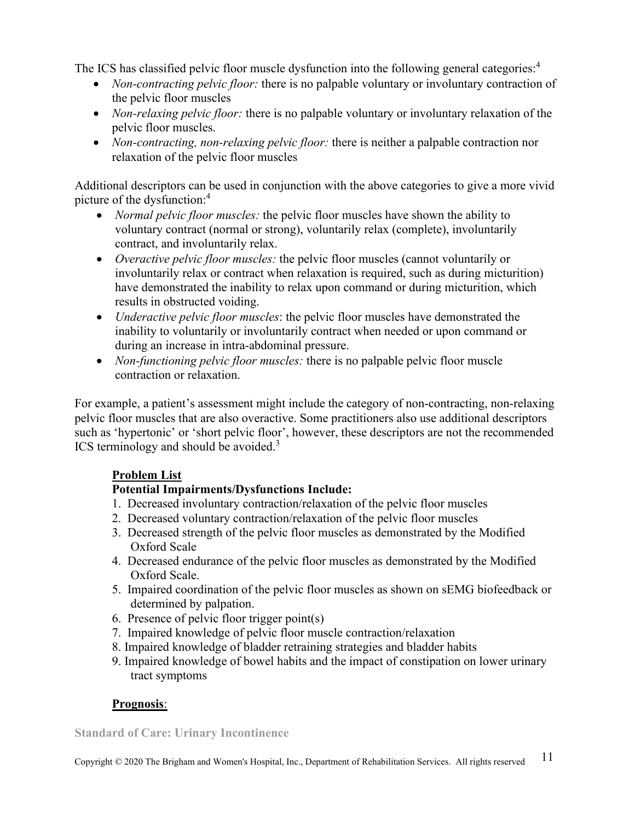The ICS has classified pelvic floor muscle dysfunction into the following general categories:<sup>4</sup>

- *Non-contracting pelvic floor:* there is no palpable voluntary or involuntary contraction of the pelvic floor muscles
- *Non-relaxing pelvic floor:* there is no palpable voluntary or involuntary relaxation of the pelvic floor muscles.
- *Non-contracting, non-relaxing pelvic floor:* there is neither a palpable contraction nor relaxation of the pelvic floor muscles

Additional descriptors can be used in conjunction with the above categories to give a more vivid picture of the dysfunction:<sup>4</sup>

- *Normal pelvic floor muscles:* the pelvic floor muscles have shown the ability to voluntary contract (normal or strong), voluntarily relax (complete), involuntarily contract, and involuntarily relax.
- *Overactive pelvic floor muscles:* the pelvic floor muscles (cannot voluntarily or involuntarily relax or contract when relaxation is required, such as during micturition) have demonstrated the inability to relax upon command or during micturition, which results in obstructed voiding.
- *Underactive pelvic floor muscles*: the pelvic floor muscles have demonstrated the inability to voluntarily or involuntarily contract when needed or upon command or during an increase in intra-abdominal pressure.
- *Non-functioning pelvic floor muscles:* there is no palpable pelvic floor muscle contraction or relaxation.

For example, a patient's assessment might include the category of non-contracting, non-relaxing pelvic floor muscles that are also overactive. Some practitioners also use additional descriptors such as 'hypertonic' or 'short pelvic floor', however, these descriptors are not the recommended ICS terminology and should be avoided.<sup>3</sup>

## **Problem List**

## **Potential Impairments/Dysfunctions Include:**

- 1. Decreased involuntary contraction/relaxation of the pelvic floor muscles
- 2. Decreased voluntary contraction/relaxation of the pelvic floor muscles
- 3. Decreased strength of the pelvic floor muscles as demonstrated by the Modified Oxford Scale
- 4. Decreased endurance of the pelvic floor muscles as demonstrated by the Modified Oxford Scale.
- 5. Impaired coordination of the pelvic floor muscles as shown on sEMG biofeedback or determined by palpation.
- 6. Presence of pelvic floor trigger point(s)
- 7. Impaired knowledge of pelvic floor muscle contraction/relaxation
- 8. Impaired knowledge of bladder retraining strategies and bladder habits
- 9. Impaired knowledge of bowel habits and the impact of constipation on lower urinary tract symptoms

## **Prognosis**: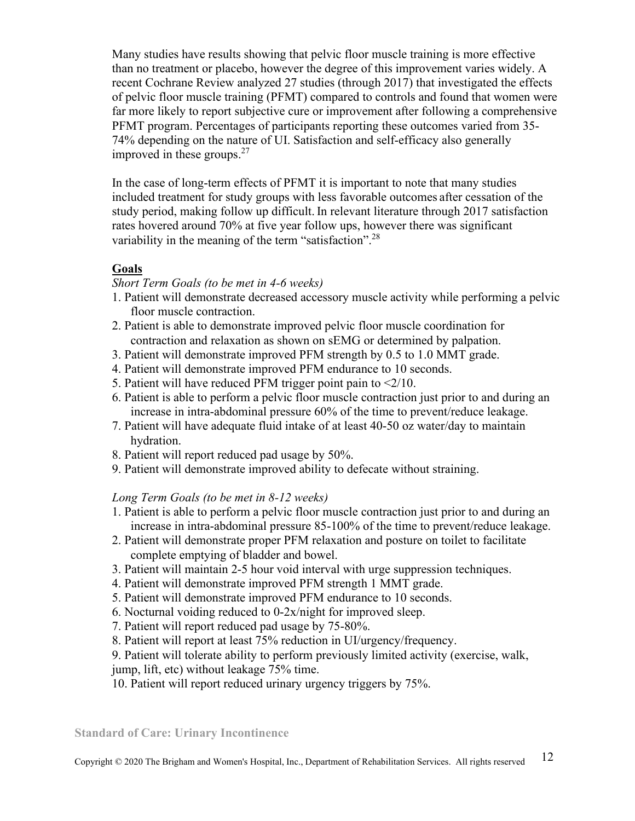Many studies have results showing that pelvic floor muscle training is more effective than no treatment or placebo, however the degree of this improvement varies widely. A recent Cochrane Review analyzed 27 studies (through 2017) that investigated the effects of pelvic floor muscle training (PFMT) compared to controls and found that women were far more likely to report subjective cure or improvement after following a comprehensive PFMT program. Percentages of participants reporting these outcomes varied from 35- 74% depending on the nature of UI. Satisfaction and self-efficacy also generally improved in these groups.<sup>27</sup>

In the case of long-term effects of PFMT it is important to note that many studies included treatment for study groups with less favorable outcomes after cessation of the study period, making follow up difficult. In relevant literature through 2017 satisfaction rates hovered around 70% at five year follow ups, however there was significant variability in the meaning of the term "satisfaction".<sup>28</sup>

### **Goals**

#### *Short Term Goals (to be met in 4-6 weeks)*

- 1. Patient will demonstrate decreased accessory muscle activity while performing a pelvic floor muscle contraction.
- 2. Patient is able to demonstrate improved pelvic floor muscle coordination for contraction and relaxation as shown on sEMG or determined by palpation.
- 3. Patient will demonstrate improved PFM strength by 0.5 to 1.0 MMT grade.
- 4. Patient will demonstrate improved PFM endurance to 10 seconds.
- 5. Patient will have reduced PFM trigger point pain to  $\leq 2/10$ .
- 6. Patient is able to perform a pelvic floor muscle contraction just prior to and during an increase in intra-abdominal pressure 60% of the time to prevent/reduce leakage.
- 7. Patient will have adequate fluid intake of at least 40-50 oz water/day to maintain hydration.
- 8. Patient will report reduced pad usage by 50%.
- 9. Patient will demonstrate improved ability to defecate without straining.

#### *Long Term Goals (to be met in 8-12 weeks)*

- 1. Patient is able to perform a pelvic floor muscle contraction just prior to and during an increase in intra-abdominal pressure 85-100% of the time to prevent/reduce leakage.
- 2. Patient will demonstrate proper PFM relaxation and posture on toilet to facilitate complete emptying of bladder and bowel.
- 3. Patient will maintain 2-5 hour void interval with urge suppression techniques.
- 4. Patient will demonstrate improved PFM strength 1 MMT grade.
- 5. Patient will demonstrate improved PFM endurance to 10 seconds.
- 6. Nocturnal voiding reduced to 0-2x/night for improved sleep.
- 7. Patient will report reduced pad usage by 75-80%.
- 8. Patient will report at least 75% reduction in UI/urgency/frequency.

#### 9. Patient will tolerate ability to perform previously limited activity (exercise, walk, jump, lift, etc) without leakage 75% time.

10. Patient will report reduced urinary urgency triggers by 75%.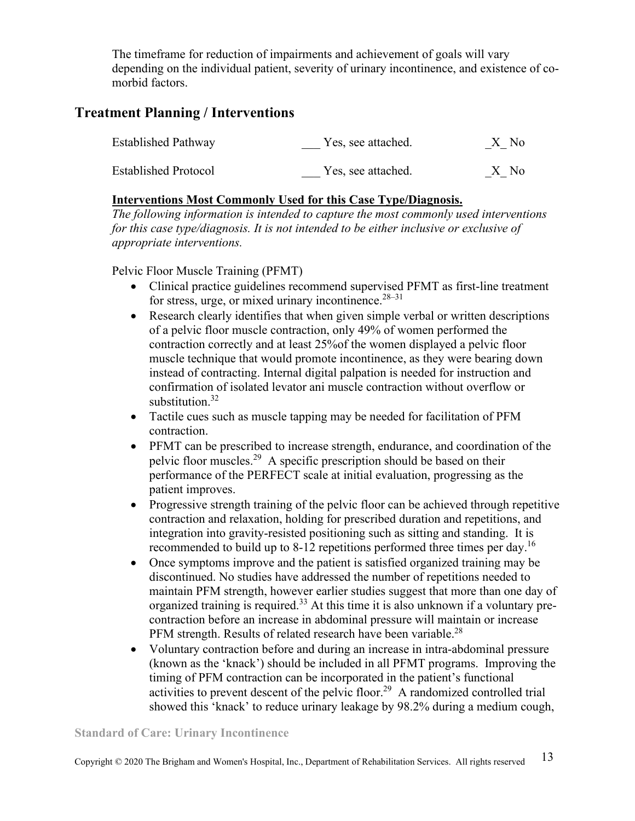The timeframe for reduction of impairments and achievement of goals will vary depending on the individual patient, severity of urinary incontinence, and existence of comorbid factors.

# **Treatment Planning / Interventions**

| <b>Established Pathway</b>  | Yes, see attached. | X No |
|-----------------------------|--------------------|------|
| <b>Established Protocol</b> | Yes, see attached. | X No |

### **Interventions Most Commonly Used for this Case Type/Diagnosis.**

*The following information is intended to capture the most commonly used interventions for this case type/diagnosis. It is not intended to be either inclusive or exclusive of appropriate interventions.* 

Pelvic Floor Muscle Training (PFMT)

- Clinical practice guidelines recommend supervised PFMT as first-line treatment for stress, urge, or mixed urinary incontinence. $28-31$
- Research clearly identifies that when given simple verbal or written descriptions of a pelvic floor muscle contraction, only 49% of women performed the contraction correctly and at least 25%of the women displayed a pelvic floor muscle technique that would promote incontinence, as they were bearing down instead of contracting. Internal digital palpation is needed for instruction and confirmation of isolated levator ani muscle contraction without overflow or substitution.<sup>32</sup>
- Tactile cues such as muscle tapping may be needed for facilitation of PFM contraction.
- PFMT can be prescribed to increase strength, endurance, and coordination of the pelvic floor muscles.<sup>29</sup> A specific prescription should be based on their performance of the PERFECT scale at initial evaluation, progressing as the patient improves.
- Progressive strength training of the pelvic floor can be achieved through repetitive contraction and relaxation, holding for prescribed duration and repetitions, and integration into gravity-resisted positioning such as sitting and standing. It is recommended to build up to 8-12 repetitions performed three times per day.<sup>16</sup>
- Once symptoms improve and the patient is satisfied organized training may be discontinued. No studies have addressed the number of repetitions needed to maintain PFM strength, however earlier studies suggest that more than one day of organized training is required.<sup>33</sup> At this time it is also unknown if a voluntary precontraction before an increase in abdominal pressure will maintain or increase PFM strength. Results of related research have been variable.<sup>28</sup>
- Voluntary contraction before and during an increase in intra-abdominal pressure (known as the 'knack') should be included in all PFMT programs. Improving the timing of PFM contraction can be incorporated in the patient's functional activities to prevent descent of the pelvic floor.<sup>29</sup> A randomized controlled trial showed this 'knack' to reduce urinary leakage by 98.2% during a medium cough,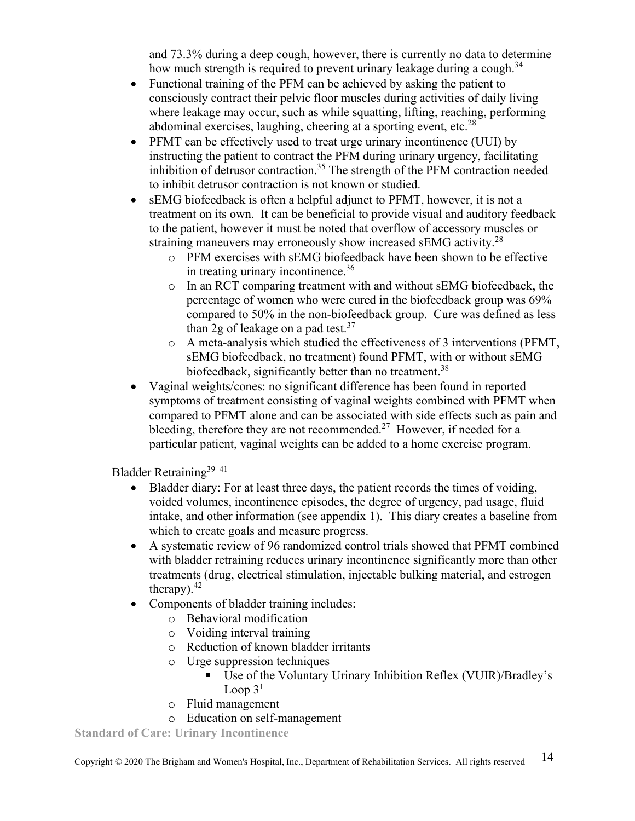and 73.3% during a deep cough, however, there is currently no data to determine how much strength is required to prevent urinary leakage during a cough.<sup>34</sup>

- Functional training of the PFM can be achieved by asking the patient to consciously contract their pelvic floor muscles during activities of daily living where leakage may occur, such as while squatting, lifting, reaching, performing abdominal exercises, laughing, cheering at a sporting event, etc. $^{28}$
- PFMT can be effectively used to treat urge urinary incontinence (UUI) by instructing the patient to contract the PFM during urinary urgency, facilitating inhibition of detrusor contraction.<sup>35</sup> The strength of the PFM contraction needed to inhibit detrusor contraction is not known or studied.
- sEMG biofeedback is often a helpful adjunct to PFMT, however, it is not a treatment on its own. It can be beneficial to provide visual and auditory feedback to the patient, however it must be noted that overflow of accessory muscles or straining maneuvers may erroneously show increased sEMG activity.<sup>28</sup>
	- o PFM exercises with sEMG biofeedback have been shown to be effective in treating urinary incontinence.<sup>36</sup>
	- o In an RCT comparing treatment with and without sEMG biofeedback, the percentage of women who were cured in the biofeedback group was 69% compared to 50% in the non-biofeedback group. Cure was defined as less than 2g of leakage on a pad test. $37$
	- o A meta-analysis which studied the effectiveness of 3 interventions (PFMT, sEMG biofeedback, no treatment) found PFMT, with or without sEMG biofeedback, significantly better than no treatment.<sup>38</sup>
- Vaginal weights/cones: no significant difference has been found in reported symptoms of treatment consisting of vaginal weights combined with PFMT when compared to PFMT alone and can be associated with side effects such as pain and bleeding, therefore they are not recommended.<sup>27</sup> However, if needed for a particular patient, vaginal weights can be added to a home exercise program.

Bladder Retraining $39-41$ 

- Bladder diary: For at least three days, the patient records the times of voiding, voided volumes, incontinence episodes, the degree of urgency, pad usage, fluid intake, and other information (see appendix 1). This diary creates a baseline from which to create goals and measure progress.
- A systematic review of 96 randomized control trials showed that PFMT combined with bladder retraining reduces urinary incontinence significantly more than other treatments (drug, electrical stimulation, injectable bulking material, and estrogen therapy). $42$
- Components of bladder training includes:
	- o Behavioral modification
	- o Voiding interval training
	- o Reduction of known bladder irritants
	- o Urge suppression techniques
		- Use of the Voluntary Urinary Inhibition Reflex (VUIR)/Bradley's Loop  $3<sup>1</sup>$
	- o Fluid management
	- o Education on self-management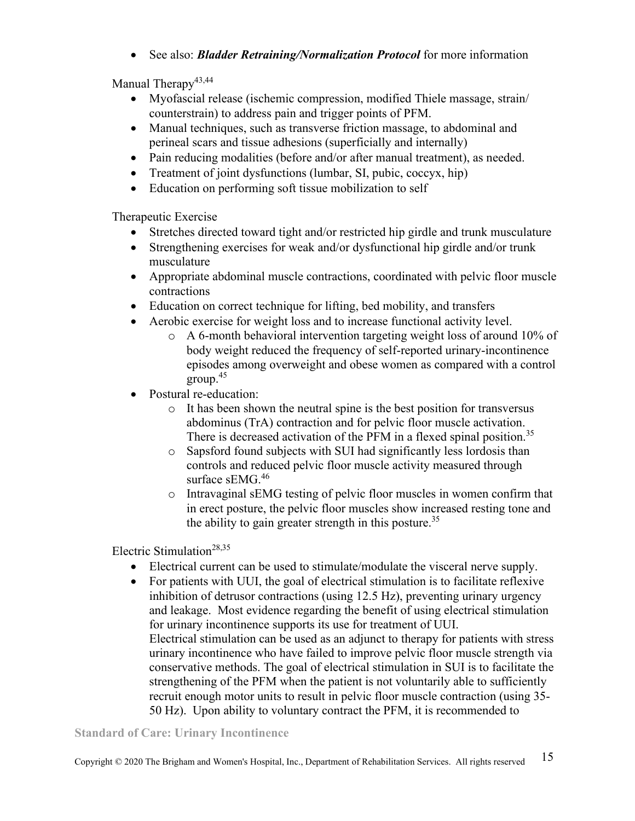• See also: *Bladder Retraining/Normalization Protocol* for more information

Manual Therapy<sup>43,44</sup>

- Myofascial release (ischemic compression, modified Thiele massage, strain/ counterstrain) to address pain and trigger points of PFM.
- Manual techniques, such as transverse friction massage, to abdominal and perineal scars and tissue adhesions (superficially and internally)
- Pain reducing modalities (before and/or after manual treatment), as needed.
- Treatment of joint dysfunctions (lumbar, SI, pubic, coccyx, hip)
- Education on performing soft tissue mobilization to self

Therapeutic Exercise

- Stretches directed toward tight and/or restricted hip girdle and trunk musculature
- Strengthening exercises for weak and/or dysfunctional hip girdle and/or trunk musculature
- Appropriate abdominal muscle contractions, coordinated with pelvic floor muscle contractions
- Education on correct technique for lifting, bed mobility, and transfers
- Aerobic exercise for weight loss and to increase functional activity level.
	- o A 6-month behavioral intervention targeting weight loss of around 10% of body weight reduced the frequency of self-reported urinary-incontinence episodes among overweight and obese women as compared with a control group.<sup>45</sup>
- Postural re-education:
	- o It has been shown the neutral spine is the best position for transversus abdominus (TrA) contraction and for pelvic floor muscle activation. There is decreased activation of the PFM in a flexed spinal position.<sup>35</sup>
	- o Sapsford found subjects with SUI had significantly less lordosis than controls and reduced pelvic floor muscle activity measured through surface sEMG.<sup>46</sup>
	- o Intravaginal sEMG testing of pelvic floor muscles in women confirm that in erect posture, the pelvic floor muscles show increased resting tone and the ability to gain greater strength in this posture.<sup>35</sup>

Electric Stimulation<sup>28,35</sup>

- Electrical current can be used to stimulate/modulate the visceral nerve supply.
- For patients with UUI, the goal of electrical stimulation is to facilitate reflexive inhibition of detrusor contractions (using 12.5 Hz), preventing urinary urgency and leakage. Most evidence regarding the benefit of using electrical stimulation for urinary incontinence supports its use for treatment of UUI. Electrical stimulation can be used as an adjunct to therapy for patients with stress urinary incontinence who have failed to improve pelvic floor muscle strength via conservative methods. The goal of electrical stimulation in SUI is to facilitate the strengthening of the PFM when the patient is not voluntarily able to sufficiently recruit enough motor units to result in pelvic floor muscle contraction (using 35- 50 Hz). Upon ability to voluntary contract the PFM, it is recommended to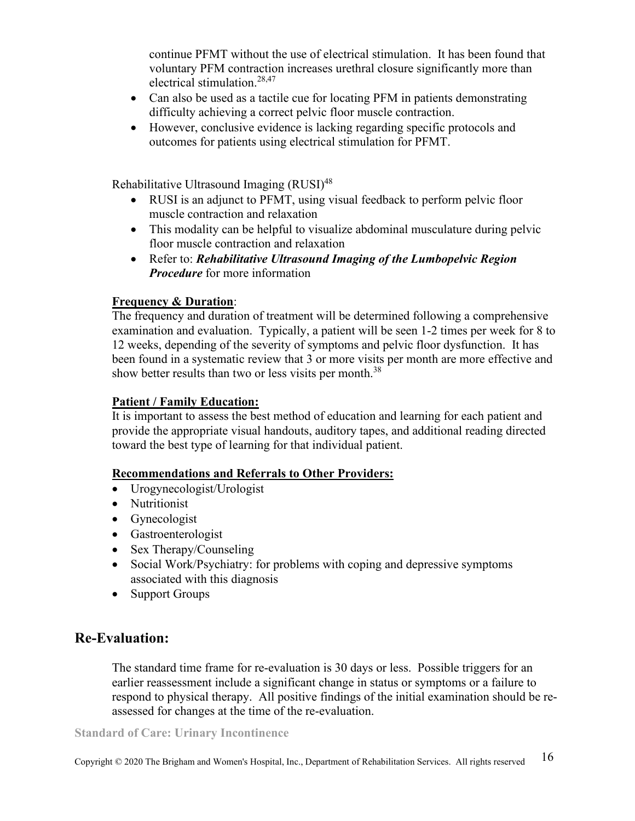continue PFMT without the use of electrical stimulation. It has been found that voluntary PFM contraction increases urethral closure significantly more than electrical stimulation.<sup>28,47</sup>

- Can also be used as a tactile cue for locating PFM in patients demonstrating difficulty achieving a correct pelvic floor muscle contraction.
- However, conclusive evidence is lacking regarding specific protocols and outcomes for patients using electrical stimulation for PFMT.

Rehabilitative Ultrasound Imaging (RUSI)<sup>48</sup>

- RUSI is an adjunct to PFMT, using visual feedback to perform pelvic floor muscle contraction and relaxation
- This modality can be helpful to visualize abdominal musculature during pelvic floor muscle contraction and relaxation
- Refer to: *Rehabilitative Ultrasound Imaging of the Lumbopelvic Region Procedure* for more information

### **Frequency & Duration**:

The frequency and duration of treatment will be determined following a comprehensive examination and evaluation. Typically, a patient will be seen 1-2 times per week for 8 to 12 weeks, depending of the severity of symptoms and pelvic floor dysfunction. It has been found in a systematic review that 3 or more visits per month are more effective and show better results than two or less visits per month.<sup>38</sup>

### **Patient / Family Education:**

 It is important to assess the best method of education and learning for each patient and provide the appropriate visual handouts, auditory tapes, and additional reading directed toward the best type of learning for that individual patient.

### **Recommendations and Referrals to Other Providers:**

- Urogynecologist/Urologist
- Nutritionist
- Gynecologist
- Gastroenterologist
- Sex Therapy/Counseling
- Social Work/Psychiatry: for problems with coping and depressive symptoms associated with this diagnosis
- Support Groups

## **Re-Evaluation:**

The standard time frame for re-evaluation is 30 days or less. Possible triggers for an earlier reassessment include a significant change in status or symptoms or a failure to respond to physical therapy. All positive findings of the initial examination should be reassessed for changes at the time of the re-evaluation.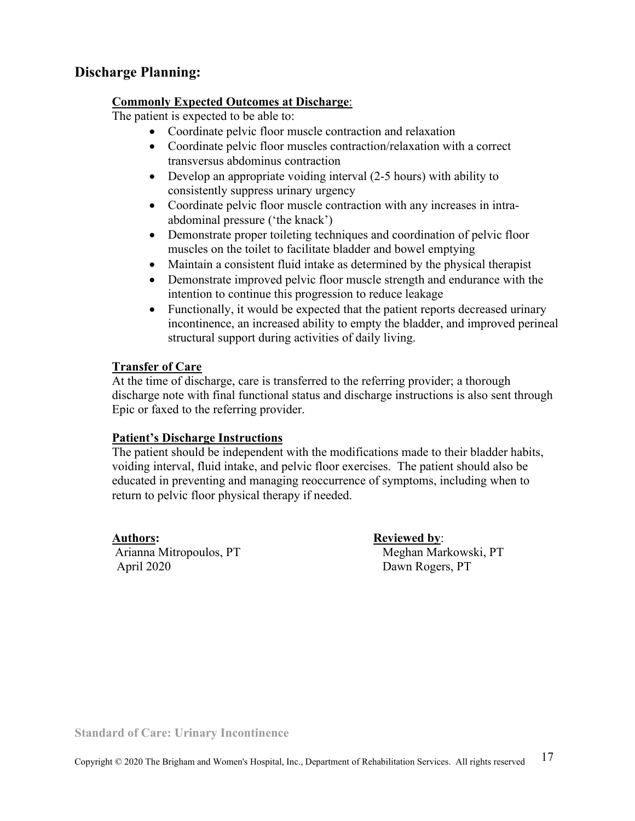## **Discharge Planning:**

#### **Commonly Expected Outcomes at Discharge**:

The patient is expected to be able to:

- Coordinate pelvic floor muscle contraction and relaxation
- Coordinate pelvic floor muscles contraction/relaxation with a correct transversus abdominus contraction
- Develop an appropriate voiding interval (2-5 hours) with ability to consistently suppress urinary urgency
- Coordinate pelvic floor muscle contraction with any increases in intraabdominal pressure ('the knack')
- Demonstrate proper toileting techniques and coordination of pelvic floor muscles on the toilet to facilitate bladder and bowel emptying
- Maintain a consistent fluid intake as determined by the physical therapist
- Demonstrate improved pelvic floor muscle strength and endurance with the intention to continue this progression to reduce leakage
- Functionally, it would be expected that the patient reports decreased urinary incontinence, an increased ability to empty the bladder, and improved perineal structural support during activities of daily living.

### **Transfer of Care**

At the time of discharge, care is transferred to the referring provider; a thorough discharge note with final functional status and discharge instructions is also sent through Epic or faxed to the referring provider.

### **Patient's Discharge Instructions**

The patient should be independent with the modifications made to their bladder habits, voiding interval, fluid intake, and pelvic floor exercises. The patient should also be educated in preventing and managing reoccurrence of symptoms, including when to return to pelvic floor physical therapy if needed.

**Authors: Reviewed by**: April 2020 Dawn Rogers, PT

Arianna Mitropoulos, PT Meghan Markowski, PT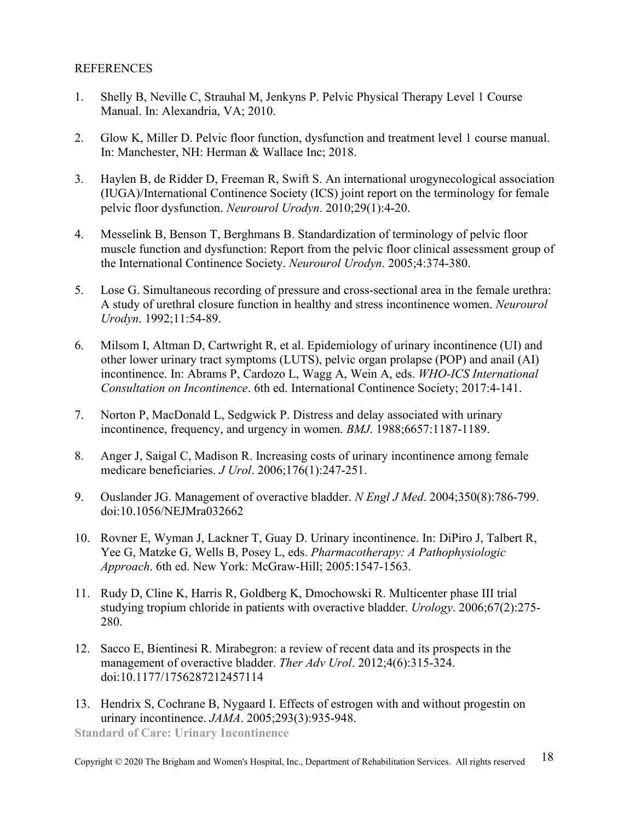### **REFERENCES**

- 1. Shelly B, Neville C, Strauhal M, Jenkyns P. Pelvic Physical Therapy Level 1 Course Manual. In: Alexandria, VA; 2010.
- 2. Glow K, Miller D. Pelvic floor function, dysfunction and treatment level 1 course manual. In: Manchester, NH: Herman & Wallace Inc; 2018.
- 3. Haylen B, de Ridder D, Freeman R, Swift S. An international urogynecological association (IUGA)/International Continence Society (ICS) joint report on the terminology for female pelvic floor dysfunction. *Neurourol Urodyn*. 2010;29(1):4-20.
- 4. Messelink B, Benson T, Berghmans B. Standardization of terminology of pelvic floor muscle function and dysfunction: Report from the pelvic floor clinical assessment group of the International Continence Society. *Neurourol Urodyn*. 2005;4:374-380.
- 5. Lose G. Simultaneous recording of pressure and cross-sectional area in the female urethra: A study of urethral closure function in healthy and stress incontinence women. *Neurourol Urodyn*. 1992;11:54-89.
- 6. Milsom I, Altman D, Cartwright R, et al. Epidemiology of urinary incontinence (UI) and other lower urinary tract symptoms (LUTS), pelvic organ prolapse (POP) and anail (AI) incontinence. In: Abrams P, Cardozo L, Wagg A, Wein A, eds. *WHO-ICS International Consultation on Incontinence*. 6th ed. International Continence Society; 2017:4-141.
- 7. Norton P, MacDonald L, Sedgwick P. Distress and delay associated with urinary incontinence, frequency, and urgency in women. *BMJ*. 1988;6657:1187-1189.
- 8. Anger J, Saigal C, Madison R. Increasing costs of urinary incontinence among female medicare beneficiaries. *J Urol*. 2006;176(1):247-251.
- 9. Ouslander JG. Management of overactive bladder. *N Engl J Med*. 2004;350(8):786-799. doi:10.1056/NEJMra032662
- 10. Rovner E, Wyman J, Lackner T, Guay D. Urinary incontinence. In: DiPiro J, Talbert R, Yee G, Matzke G, Wells B, Posey L, eds. *Pharmacotherapy: A Pathophysiologic Approach*. 6th ed. New York: McGraw-Hill; 2005:1547-1563.
- 11. Rudy D, Cline K, Harris R, Goldberg K, Dmochowski R. Multicenter phase III trial studying tropium chloride in patients with overactive bladder. *Urology*. 2006;67(2):275- 280.
- 12. Sacco E, Bientinesi R. Mirabegron: a review of recent data and its prospects in the management of overactive bladder. *Ther Adv Urol*. 2012;4(6):315-324. doi:10.1177/1756287212457114
- 13. Hendrix S, Cochrane B, Nygaard I. Effects of estrogen with and without progestin on urinary incontinence. *JAMA*. 2005;293(3):935-948.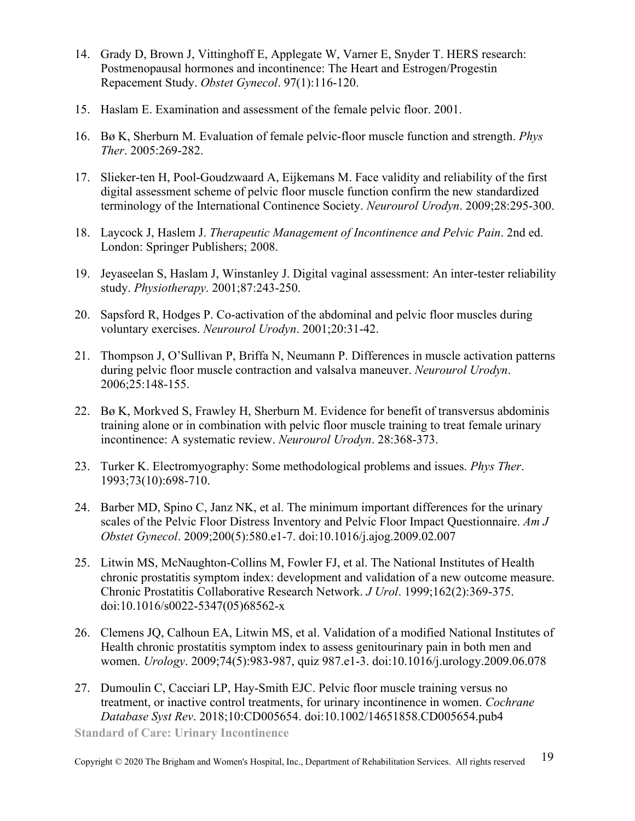- 14. Grady D, Brown J, Vittinghoff E, Applegate W, Varner E, Snyder T. HERS research: Postmenopausal hormones and incontinence: The Heart and Estrogen/Progestin Repacement Study. *Obstet Gynecol*. 97(1):116-120.
- 15. Haslam E. Examination and assessment of the female pelvic floor. 2001.
- 16. Bø K, Sherburn M. Evaluation of female pelvic-floor muscle function and strength. *Phys Ther*. 2005:269-282.
- 17. Slieker-ten H, Pool-Goudzwaard A, Eijkemans M. Face validity and reliability of the first digital assessment scheme of pelvic floor muscle function confirm the new standardized terminology of the International Continence Society. *Neurourol Urodyn*. 2009;28:295-300.
- 18. Laycock J, Haslem J. *Therapeutic Management of Incontinence and Pelvic Pain*. 2nd ed. London: Springer Publishers; 2008.
- 19. Jeyaseelan S, Haslam J, Winstanley J. Digital vaginal assessment: An inter-tester reliability study. *Physiotherapy*. 2001;87:243-250.
- 20. Sapsford R, Hodges P. Co-activation of the abdominal and pelvic floor muscles during voluntary exercises. *Neurourol Urodyn*. 2001;20:31-42.
- 21. Thompson J, O'Sullivan P, Briffa N, Neumann P. Differences in muscle activation patterns during pelvic floor muscle contraction and valsalva maneuver. *Neurourol Urodyn*. 2006;25:148-155.
- 22. Bø K, Morkved S, Frawley H, Sherburn M. Evidence for benefit of transversus abdominis training alone or in combination with pelvic floor muscle training to treat female urinary incontinence: A systematic review. *Neurourol Urodyn*. 28:368-373.
- 23. Turker K. Electromyography: Some methodological problems and issues. *Phys Ther*. 1993;73(10):698-710.
- 24. Barber MD, Spino C, Janz NK, et al. The minimum important differences for the urinary scales of the Pelvic Floor Distress Inventory and Pelvic Floor Impact Questionnaire. *Am J Obstet Gynecol*. 2009;200(5):580.e1-7. doi:10.1016/j.ajog.2009.02.007
- 25. Litwin MS, McNaughton-Collins M, Fowler FJ, et al. The National Institutes of Health chronic prostatitis symptom index: development and validation of a new outcome measure. Chronic Prostatitis Collaborative Research Network. *J Urol*. 1999;162(2):369-375. doi:10.1016/s0022-5347(05)68562-x
- 26. Clemens JQ, Calhoun EA, Litwin MS, et al. Validation of a modified National Institutes of Health chronic prostatitis symptom index to assess genitourinary pain in both men and women. *Urology*. 2009;74(5):983-987, quiz 987.e1-3. doi:10.1016/j.urology.2009.06.078
- 27. Dumoulin C, Cacciari LP, Hay-Smith EJC. Pelvic floor muscle training versus no treatment, or inactive control treatments, for urinary incontinence in women. *Cochrane Database Syst Rev*. 2018;10:CD005654. doi:10.1002/14651858.CD005654.pub4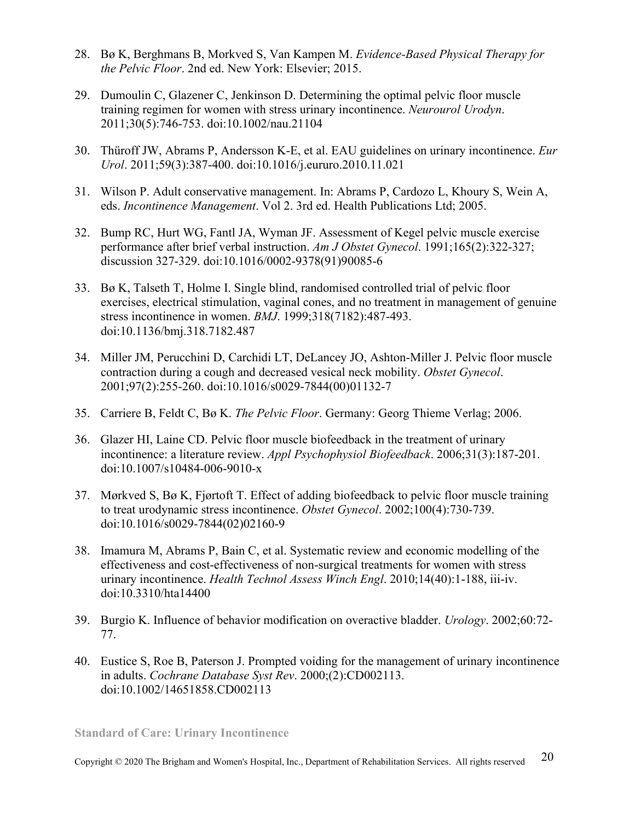- 28. Bø K, Berghmans B, Morkved S, Van Kampen M. *Evidence-Based Physical Therapy for the Pelvic Floor*. 2nd ed. New York: Elsevier; 2015.
- 29. Dumoulin C, Glazener C, Jenkinson D. Determining the optimal pelvic floor muscle training regimen for women with stress urinary incontinence. *Neurourol Urodyn*. 2011;30(5):746-753. doi:10.1002/nau.21104
- 30. Thüroff JW, Abrams P, Andersson K-E, et al. EAU guidelines on urinary incontinence. *Eur Urol*. 2011;59(3):387-400. doi:10.1016/j.eururo.2010.11.021
- 31. Wilson P. Adult conservative management. In: Abrams P, Cardozo L, Khoury S, Wein A, eds. *Incontinence Management*. Vol 2. 3rd ed. Health Publications Ltd; 2005.
- 32. Bump RC, Hurt WG, Fantl JA, Wyman JF. Assessment of Kegel pelvic muscle exercise performance after brief verbal instruction. *Am J Obstet Gynecol*. 1991;165(2):322-327; discussion 327-329. doi:10.1016/0002-9378(91)90085-6
- 33. Bø K, Talseth T, Holme I. Single blind, randomised controlled trial of pelvic floor exercises, electrical stimulation, vaginal cones, and no treatment in management of genuine stress incontinence in women. *BMJ*. 1999;318(7182):487-493. doi:10.1136/bmj.318.7182.487
- 34. Miller JM, Perucchini D, Carchidi LT, DeLancey JO, Ashton-Miller J. Pelvic floor muscle contraction during a cough and decreased vesical neck mobility. *Obstet Gynecol*. 2001;97(2):255-260. doi:10.1016/s0029-7844(00)01132-7
- 35. Carriere B, Feldt C, Bø K. *The Pelvic Floor*. Germany: Georg Thieme Verlag; 2006.
- 36. Glazer HI, Laine CD. Pelvic floor muscle biofeedback in the treatment of urinary incontinence: a literature review. *Appl Psychophysiol Biofeedback*. 2006;31(3):187-201. doi:10.1007/s10484-006-9010-x
- 37. Mørkved S, Bø K, Fjørtoft T. Effect of adding biofeedback to pelvic floor muscle training to treat urodynamic stress incontinence. *Obstet Gynecol*. 2002;100(4):730-739. doi:10.1016/s0029-7844(02)02160-9
- 38. Imamura M, Abrams P, Bain C, et al. Systematic review and economic modelling of the effectiveness and cost-effectiveness of non-surgical treatments for women with stress urinary incontinence. *Health Technol Assess Winch Engl*. 2010;14(40):1-188, iii-iv. doi:10.3310/hta14400
- 39. Burgio K. Influence of behavior modification on overactive bladder. *Urology*. 2002;60:72- 77.
- 40. Eustice S, Roe B, Paterson J. Prompted voiding for the management of urinary incontinence in adults. *Cochrane Database Syst Rev*. 2000;(2):CD002113. doi:10.1002/14651858.CD002113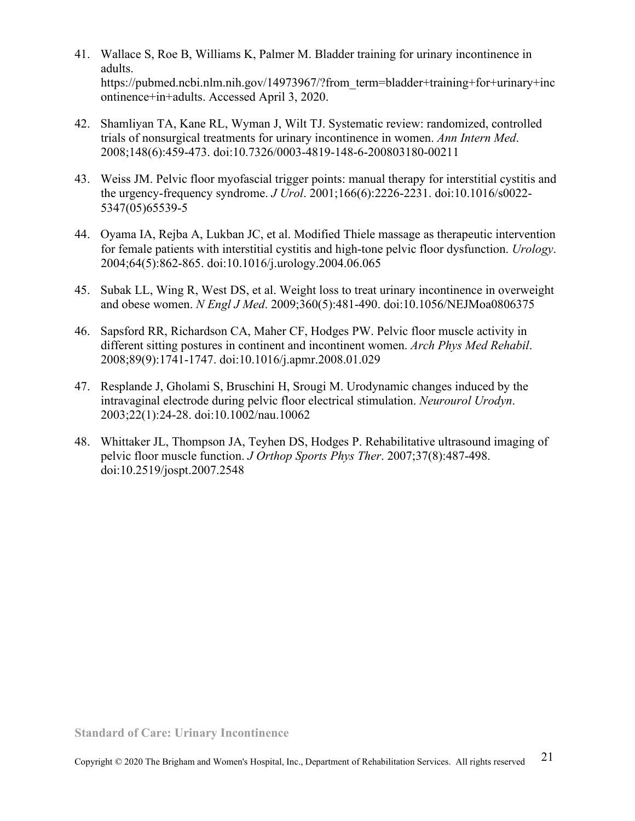- 41. Wallace S, Roe B, Williams K, Palmer M. Bladder training for urinary incontinence in adults. https://pubmed.ncbi.nlm.nih.gov/14973967/?from\_term=bladder+training+for+urinary+inc ontinence+in+adults. Accessed April 3, 2020.
- 42. Shamliyan TA, Kane RL, Wyman J, Wilt TJ. Systematic review: randomized, controlled trials of nonsurgical treatments for urinary incontinence in women. *Ann Intern Med*. 2008;148(6):459-473. doi:10.7326/0003-4819-148-6-200803180-00211
- 43. Weiss JM. Pelvic floor myofascial trigger points: manual therapy for interstitial cystitis and the urgency-frequency syndrome. *J Urol*. 2001;166(6):2226-2231. doi:10.1016/s0022- 5347(05)65539-5
- 44. Oyama IA, Rejba A, Lukban JC, et al. Modified Thiele massage as therapeutic intervention for female patients with interstitial cystitis and high-tone pelvic floor dysfunction. *Urology*. 2004;64(5):862-865. doi:10.1016/j.urology.2004.06.065
- 45. Subak LL, Wing R, West DS, et al. Weight loss to treat urinary incontinence in overweight and obese women. *N Engl J Med*. 2009;360(5):481-490. doi:10.1056/NEJMoa0806375
- 46. Sapsford RR, Richardson CA, Maher CF, Hodges PW. Pelvic floor muscle activity in different sitting postures in continent and incontinent women. *Arch Phys Med Rehabil*. 2008;89(9):1741-1747. doi:10.1016/j.apmr.2008.01.029
- 47. Resplande J, Gholami S, Bruschini H, Srougi M. Urodynamic changes induced by the intravaginal electrode during pelvic floor electrical stimulation. *Neurourol Urodyn*. 2003;22(1):24-28. doi:10.1002/nau.10062
- 48. Whittaker JL, Thompson JA, Teyhen DS, Hodges P. Rehabilitative ultrasound imaging of pelvic floor muscle function. *J Orthop Sports Phys Ther*. 2007;37(8):487-498. doi:10.2519/jospt.2007.2548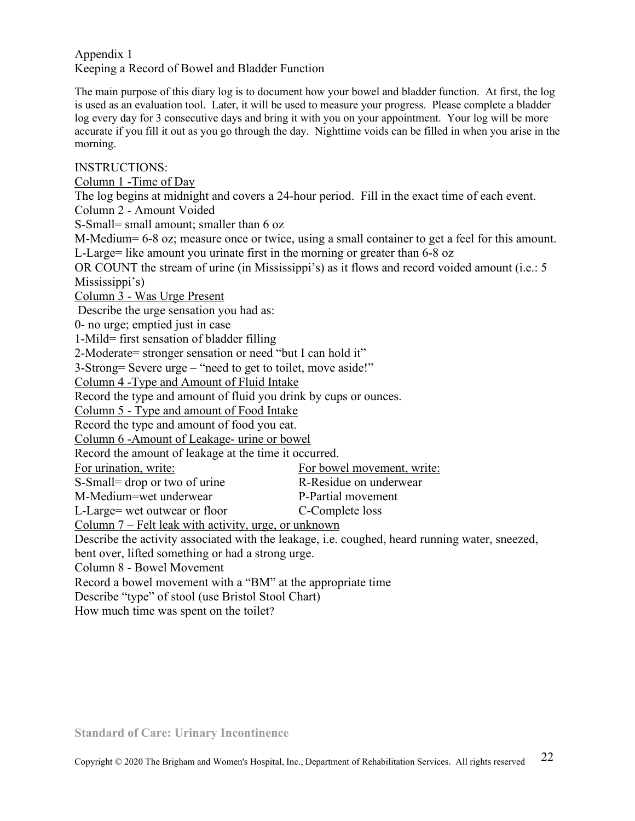#### Appendix 1 Keeping a Record of Bowel and Bladder Function

The main purpose of this diary log is to document how your bowel and bladder function. At first, the log is used as an evaluation tool. Later, it will be used to measure your progress. Please complete a bladder log every day for 3 consecutive days and bring it with you on your appointment. Your log will be more accurate if you fill it out as you go through the day. Nighttime voids can be filled in when you arise in the morning.

INSTRUCTIONS:

Column 1 -Time of Day

The log begins at midnight and covers a 24-hour period. Fill in the exact time of each event.

Column 2 - Amount Voided

S-Small= small amount; smaller than 6 oz

M-Medium= 6-8 oz; measure once or twice, using a small container to get a feel for this amount. L-Large= like amount you urinate first in the morning or greater than 6-8 oz

OR COUNT the stream of urine (in Mississippi's) as it flows and record voided amount (i.e.: 5 Mississippi's)

Column 3 - Was Urge Present

Describe the urge sensation you had as:

0- no urge; emptied just in case

1-Mild= first sensation of bladder filling

2-Moderate= stronger sensation or need "but I can hold it"

3-Strong= Severe urge – "need to get to toilet, move aside!"

Column 4 -Type and Amount of Fluid Intake

Record the type and amount of fluid you drink by cups or ounces.

Column 5 - Type and amount of Food Intake

Record the type and amount of food you eat.

Column 6 -Amount of Leakage- urine or bowel

Record the amount of leakage at the time it occurred.

For urination, write:<br>
For bowel movement, write:

S-Small= drop or two of urine R-Residue on underwear

M-Medium=wet underwear P-Partial movement

L-Large= wet outwear or floor C-Complete loss

Column 7 – Felt leak with activity, urge, or unknown

Describe the activity associated with the leakage, i.e. coughed, heard running water, sneezed,

bent over, lifted something or had a strong urge.

Column 8 - Bowel Movement

Record a bowel movement with a "BM" at the appropriate time

Describe "type" of stool (use Bristol Stool Chart)

How much time was spent on the toilet?